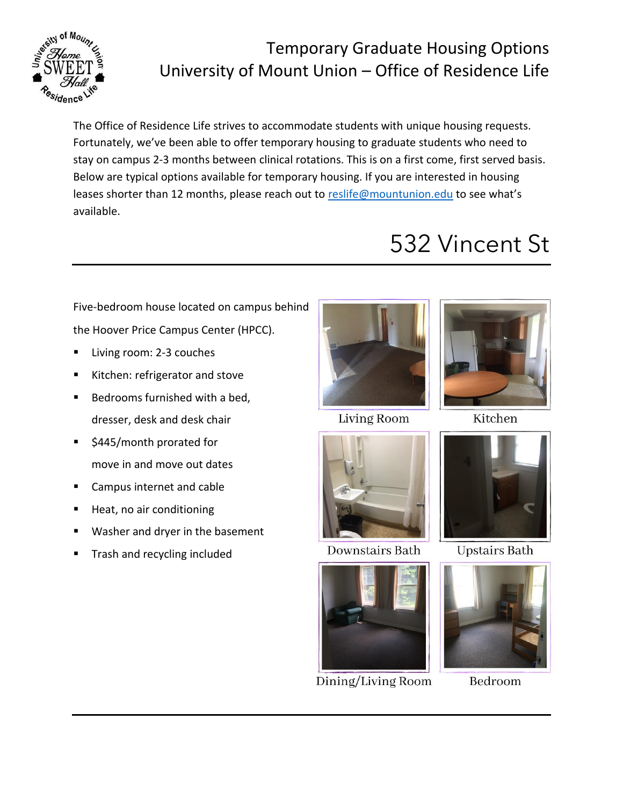

### Temporary Graduate Housing Options University of Mount Union – Office of Residence Life

The Office of Residence Life strives to accommodate students with unique housing requests. Fortunately, we've been able to offer temporary housing to graduate students who need to stay on campus 2-3 months between clinical rotations. This is on a first come, first served basis. Below are typical options available for temporary housing. If you are interested in housing leases shorter than 12 months, please reach out to [reslife@mountunion.edu](mailto:reslife@mountunion.edu) to see what's available.

#### Five-bedroom house located on campus behind the Hoover Price Campus Center (HPCC).

- Living room: 2-3 couches
- Kitchen: refrigerator and stove
- Bedrooms furnished with a bed, dresser, desk and desk chair
- \$445/month prorated for move in and move out dates
- Campus internet and cable
- Heat, no air conditioning
- Washer and dryer in the basement
- Trash and recycling included



**Living Room** 



**Downstairs Bath** 



Dining/Living Room



532 Vincent St

Kitchen



**Upstairs Bath** 



Bedroom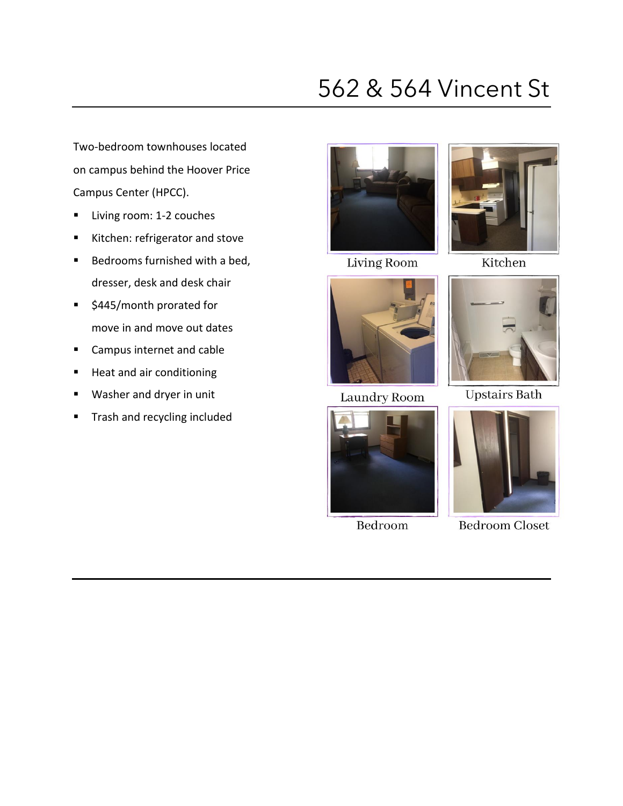## 562 & 564 Vincent St

Two-bedroom townhouses located on campus behind the Hoover Price Campus Center (HPCC).

- Living room: 1-2 couches
- Kitchen: refrigerator and stove
- Bedrooms furnished with a bed, dresser, desk and desk chair
- \$445/month prorated for move in and move out dates
- Campus internet and cable
- Heat and air conditioning
- Washer and dryer in unit
- **■** Trash and recycling included







Kitchen



Laundry Room



Bedroom



**Upstairs Bath** 



**Bedroom Closet**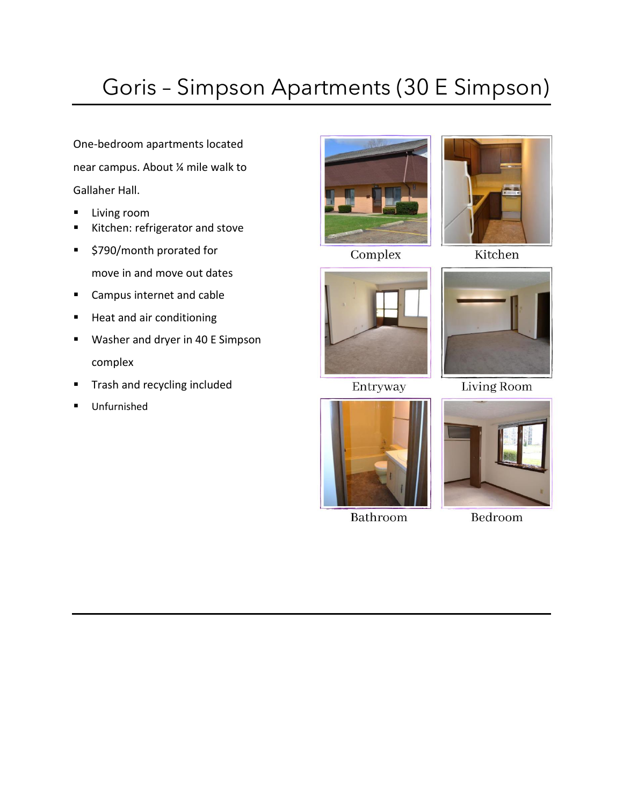# Goris – Simpson Apartments (30 E Simpson)

One-bedroom apartments located near campus. About ¼ mile walk to Gallaher Hall.

- Living room
- Kitchen: refrigerator and stove
- \$790/month prorated for move in and move out dates
- Campus internet and cable
- Heat and air conditioning
- Washer and dryer in 40 E Simpson complex
- **■** Trash and recycling included
- Unfurnished







Entryway



Kitchen



**Living Room** 



Bathroom



Bedroom